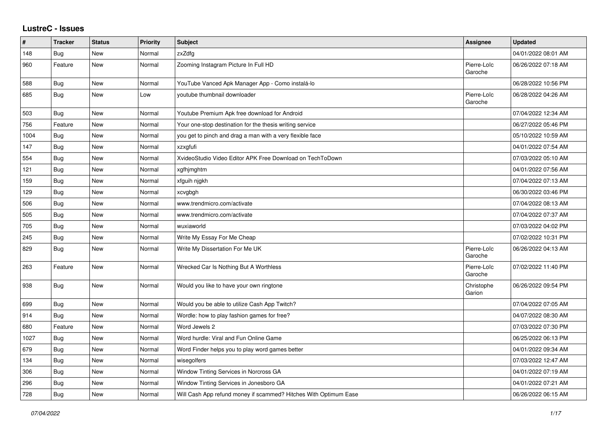## **LustreC - Issues**

| #    | <b>Tracker</b> | <b>Status</b> | <b>Priority</b> | <b>Subject</b>                                                   | Assignee               | <b>Updated</b>      |
|------|----------------|---------------|-----------------|------------------------------------------------------------------|------------------------|---------------------|
| 148  | <b>Bug</b>     | New           | Normal          | zxZdfg                                                           |                        | 04/01/2022 08:01 AM |
| 960  | Feature        | <b>New</b>    | Normal          | Zooming Instagram Picture In Full HD                             | Pierre-Loïc<br>Garoche | 06/26/2022 07:18 AM |
| 588  | Bug            | <b>New</b>    | Normal          | YouTube Vanced Apk Manager App - Como instalá-lo                 |                        | 06/28/2022 10:56 PM |
| 685  | Bug            | <b>New</b>    | Low             | youtube thumbnail downloader                                     | Pierre-Loïc<br>Garoche | 06/28/2022 04:26 AM |
| 503  | Bug            | <b>New</b>    | Normal          | Youtube Premium Apk free download for Android                    |                        | 07/04/2022 12:34 AM |
| 756  | Feature        | New           | Normal          | Your one-stop destination for the thesis writing service         |                        | 06/27/2022 05:46 PM |
| 1004 | Bug            | New           | Normal          | you get to pinch and drag a man with a very flexible face        |                        | 05/10/2022 10:59 AM |
| 147  | <b>Bug</b>     | <b>New</b>    | Normal          | xzxgfufi                                                         |                        | 04/01/2022 07:54 AM |
| 554  | Bug            | New           | Normal          | XvideoStudio Video Editor APK Free Download on TechToDown        |                        | 07/03/2022 05:10 AM |
| 121  | Bug            | New           | Normal          | xgfhjmghtm                                                       |                        | 04/01/2022 07:56 AM |
| 159  | Bug            | <b>New</b>    | Normal          | xfguih njgkh                                                     |                        | 07/04/2022 07:13 AM |
| 129  | Bug            | New           | Normal          | xcvgbgh                                                          |                        | 06/30/2022 03:46 PM |
| 506  | Bug            | New           | Normal          | www.trendmicro.com/activate                                      |                        | 07/04/2022 08:13 AM |
| 505  | <b>Bug</b>     | <b>New</b>    | Normal          | www.trendmicro.com/activate                                      |                        | 07/04/2022 07:37 AM |
| 705  | Bug            | New           | Normal          | wuxiaworld                                                       |                        | 07/03/2022 04:02 PM |
| 245  | <b>Bug</b>     | New           | Normal          | Write My Essay For Me Cheap                                      |                        | 07/02/2022 10:31 PM |
| 829  | <b>Bug</b>     | New           | Normal          | Write My Dissertation For Me UK                                  | Pierre-Loïc<br>Garoche | 06/26/2022 04:13 AM |
| 263  | Feature        | New           | Normal          | Wrecked Car Is Nothing But A Worthless                           | Pierre-Loïc<br>Garoche | 07/02/2022 11:40 PM |
| 938  | <b>Bug</b>     | New           | Normal          | Would you like to have your own ringtone                         | Christophe<br>Garion   | 06/26/2022 09:54 PM |
| 699  | Bug            | <b>New</b>    | Normal          | Would you be able to utilize Cash App Twitch?                    |                        | 07/04/2022 07:05 AM |
| 914  | <b>Bug</b>     | New           | Normal          | Wordle: how to play fashion games for free?                      |                        | 04/07/2022 08:30 AM |
| 680  | Feature        | New           | Normal          | Word Jewels 2                                                    |                        | 07/03/2022 07:30 PM |
| 1027 | Bug            | New           | Normal          | Word hurdle: Viral and Fun Online Game                           |                        | 06/25/2022 06:13 PM |
| 679  | <b>Bug</b>     | <b>New</b>    | Normal          | Word Finder helps you to play word games better                  |                        | 04/01/2022 09:34 AM |
| 134  | Bug            | New           | Normal          | wisegolfers                                                      |                        | 07/03/2022 12:47 AM |
| 306  | Bug            | <b>New</b>    | Normal          | Window Tinting Services in Norcross GA                           |                        | 04/01/2022 07:19 AM |
| 296  | Bug            | New           | Normal          | Window Tinting Services in Jonesboro GA                          |                        | 04/01/2022 07:21 AM |
| 728  | Bug            | New           | Normal          | Will Cash App refund money if scammed? Hitches With Optimum Ease |                        | 06/26/2022 06:15 AM |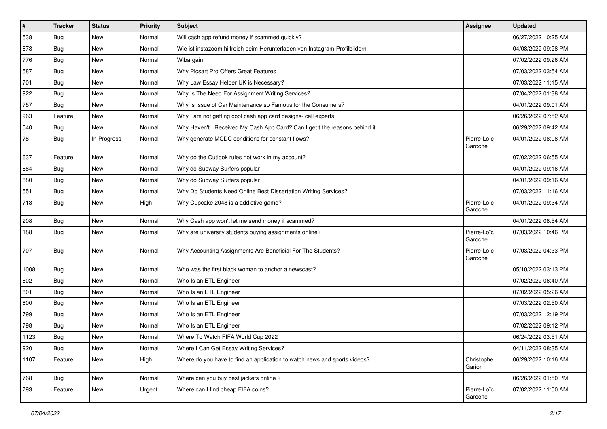| $\sharp$ | <b>Tracker</b> | <b>Status</b> | Priority | <b>Subject</b>                                                             | <b>Assignee</b>        | <b>Updated</b>      |
|----------|----------------|---------------|----------|----------------------------------------------------------------------------|------------------------|---------------------|
| 538      | Bug            | New           | Normal   | Will cash app refund money if scammed quickly?                             |                        | 06/27/2022 10:25 AM |
| 878      | Bug            | New           | Normal   | Wie ist instazoom hilfreich beim Herunterladen von Instagram-Profilbildern |                        | 04/08/2022 09:28 PM |
| 776      | Bug            | New           | Normal   | Wibargain                                                                  |                        | 07/02/2022 09:26 AM |
| 587      | Bug            | New           | Normal   | Why Picsart Pro Offers Great Features                                      |                        | 07/03/2022 03:54 AM |
| 701      | Bug            | New           | Normal   | Why Law Essay Helper UK is Necessary?                                      |                        | 07/03/2022 11:15 AM |
| 922      | Bug            | New           | Normal   | Why Is The Need For Assignment Writing Services?                           |                        | 07/04/2022 01:38 AM |
| 757      | Bug            | New           | Normal   | Why Is Issue of Car Maintenance so Famous for the Consumers?               |                        | 04/01/2022 09:01 AM |
| 963      | Feature        | New           | Normal   | Why I am not getting cool cash app card designs- call experts              |                        | 06/26/2022 07:52 AM |
| 540      | Bug            | <b>New</b>    | Normal   | Why Haven't I Received My Cash App Card? Can I get t the reasons behind it |                        | 06/29/2022 09:42 AM |
| 78       | Bug            | In Progress   | Normal   | Why generate MCDC conditions for constant flows?                           | Pierre-Loïc<br>Garoche | 04/01/2022 08:08 AM |
| 637      | Feature        | <b>New</b>    | Normal   | Why do the Outlook rules not work in my account?                           |                        | 07/02/2022 06:55 AM |
| 884      | Bug            | New           | Normal   | Why do Subway Surfers popular                                              |                        | 04/01/2022 09:16 AM |
| 880      | Bug            | New           | Normal   | Why do Subway Surfers popular                                              |                        | 04/01/2022 09:16 AM |
| 551      | Bug            | New           | Normal   | Why Do Students Need Online Best Dissertation Writing Services?            |                        | 07/03/2022 11:16 AM |
| 713      | Bug            | New           | High     | Why Cupcake 2048 is a addictive game?                                      | Pierre-Loïc<br>Garoche | 04/01/2022 09:34 AM |
| 208      | Bug            | New           | Normal   | Why Cash app won't let me send money if scammed?                           |                        | 04/01/2022 08:54 AM |
| 188      | Bug            | New           | Normal   | Why are university students buying assignments online?                     | Pierre-Loïc<br>Garoche | 07/03/2022 10:46 PM |
| 707      | Bug            | New           | Normal   | Why Accounting Assignments Are Beneficial For The Students?                | Pierre-Loïc<br>Garoche | 07/03/2022 04:33 PM |
| 1008     | Bug            | New           | Normal   | Who was the first black woman to anchor a newscast?                        |                        | 05/10/2022 03:13 PM |
| 802      | Bug            | <b>New</b>    | Normal   | Who Is an ETL Engineer                                                     |                        | 07/02/2022 06:40 AM |
| 801      | Bug            | New           | Normal   | Who Is an ETL Engineer                                                     |                        | 07/02/2022 05:26 AM |
| 800      | Bug            | <b>New</b>    | Normal   | Who Is an ETL Engineer                                                     |                        | 07/03/2022 02:50 AM |
| 799      | Bug            | New           | Normal   | Who Is an ETL Engineer                                                     |                        | 07/03/2022 12:19 PM |
| 798      | Bug            | New           | Normal   | Who Is an ETL Engineer                                                     |                        | 07/02/2022 09:12 PM |
| 1123     | Bug            | New           | Normal   | Where To Watch FIFA World Cup 2022                                         |                        | 06/24/2022 03:51 AM |
| 920      | Bug            | New           | Normal   | Where I Can Get Essay Writing Services?                                    |                        | 04/11/2022 08:35 AM |
| 1107     | Feature        | New           | High     | Where do you have to find an application to watch news and sports videos?  | Christophe<br>Garion   | 06/29/2022 10:16 AM |
| 768      | Bug            | New           | Normal   | Where can you buy best jackets online?                                     |                        | 06/26/2022 01:50 PM |
| 793      | Feature        | New           | Urgent   | Where can I find cheap FIFA coins?                                         | Pierre-Loïc<br>Garoche | 07/02/2022 11:00 AM |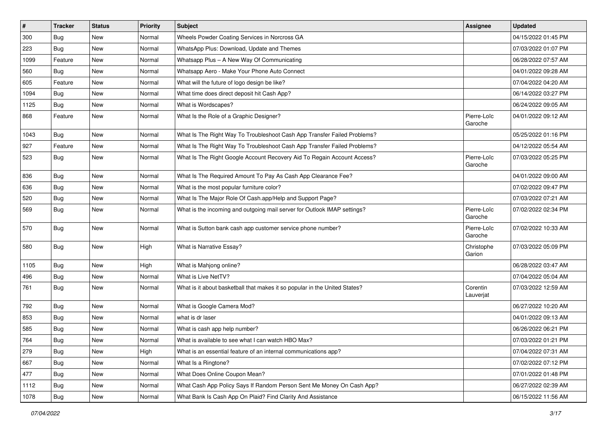| $\vert$ # | <b>Tracker</b> | <b>Status</b> | <b>Priority</b> | <b>Subject</b>                                                             | <b>Assignee</b>        | <b>Updated</b>      |
|-----------|----------------|---------------|-----------------|----------------------------------------------------------------------------|------------------------|---------------------|
| 300       | <b>Bug</b>     | New           | Normal          | Wheels Powder Coating Services in Norcross GA                              |                        | 04/15/2022 01:45 PM |
| 223       | Bug            | New           | Normal          | WhatsApp Plus: Download, Update and Themes                                 |                        | 07/03/2022 01:07 PM |
| 1099      | Feature        | New           | Normal          | Whatsapp Plus - A New Way Of Communicating                                 |                        | 06/28/2022 07:57 AM |
| 560       | <b>Bug</b>     | New           | Normal          | Whatsapp Aero - Make Your Phone Auto Connect                               |                        | 04/01/2022 09:28 AM |
| 605       | Feature        | New           | Normal          | What will the future of logo design be like?                               |                        | 07/04/2022 04:20 AM |
| 1094      | Bug            | New           | Normal          | What time does direct deposit hit Cash App?                                |                        | 06/14/2022 03:27 PM |
| 1125      | Bug            | New           | Normal          | What is Wordscapes?                                                        |                        | 06/24/2022 09:05 AM |
| 868       | Feature        | New           | Normal          | What Is the Role of a Graphic Designer?                                    | Pierre-Loïc<br>Garoche | 04/01/2022 09:12 AM |
| 1043      | Bug            | New           | Normal          | What Is The Right Way To Troubleshoot Cash App Transfer Failed Problems?   |                        | 05/25/2022 01:16 PM |
| 927       | Feature        | New           | Normal          | What Is The Right Way To Troubleshoot Cash App Transfer Failed Problems?   |                        | 04/12/2022 05:54 AM |
| 523       | <b>Bug</b>     | New           | Normal          | What Is The Right Google Account Recovery Aid To Regain Account Access?    | Pierre-Loïc<br>Garoche | 07/03/2022 05:25 PM |
| 836       | <b>Bug</b>     | New           | Normal          | What Is The Required Amount To Pay As Cash App Clearance Fee?              |                        | 04/01/2022 09:00 AM |
| 636       | <b>Bug</b>     | New           | Normal          | What is the most popular furniture color?                                  |                        | 07/02/2022 09:47 PM |
| 520       | <b>Bug</b>     | New           | Normal          | What Is The Major Role Of Cash.app/Help and Support Page?                  |                        | 07/03/2022 07:21 AM |
| 569       | <b>Bug</b>     | New           | Normal          | What is the incoming and outgoing mail server for Outlook IMAP settings?   | Pierre-Loïc<br>Garoche | 07/02/2022 02:34 PM |
| 570       | Bug            | New           | Normal          | What is Sutton bank cash app customer service phone number?                | Pierre-Loïc<br>Garoche | 07/02/2022 10:33 AM |
| 580       | Bug            | New           | High            | What is Narrative Essay?                                                   | Christophe<br>Garion   | 07/03/2022 05:09 PM |
| 1105      | Bug            | New           | High            | What is Mahjong online?                                                    |                        | 06/28/2022 03:47 AM |
| 496       | <b>Bug</b>     | New           | Normal          | What is Live NetTV?                                                        |                        | 07/04/2022 05:04 AM |
| 761       | Bug            | New           | Normal          | What is it about basketball that makes it so popular in the United States? | Corentin<br>Lauverjat  | 07/03/2022 12:59 AM |
| 792       | Bug            | New           | Normal          | What is Google Camera Mod?                                                 |                        | 06/27/2022 10:20 AM |
| 853       | Bug            | New           | Normal          | what is dr laser                                                           |                        | 04/01/2022 09:13 AM |
| 585       | <b>Bug</b>     | <b>New</b>    | Normal          | What is cash app help number?                                              |                        | 06/26/2022 06:21 PM |
| 764       | Bug            | New           | Normal          | What is available to see what I can watch HBO Max?                         |                        | 07/03/2022 01:21 PM |
| 279       | Bug            | New           | High            | What is an essential feature of an internal communications app?            |                        | 07/04/2022 07:31 AM |
| 667       | <b>Bug</b>     | New           | Normal          | What Is a Ringtone?                                                        |                        | 07/02/2022 07:12 PM |
| 477       | <b>Bug</b>     | New           | Normal          | What Does Online Coupon Mean?                                              |                        | 07/01/2022 01:48 PM |
| 1112      | Bug            | New           | Normal          | What Cash App Policy Says If Random Person Sent Me Money On Cash App?      |                        | 06/27/2022 02:39 AM |
| 1078      | Bug            | New           | Normal          | What Bank Is Cash App On Plaid? Find Clarity And Assistance                |                        | 06/15/2022 11:56 AM |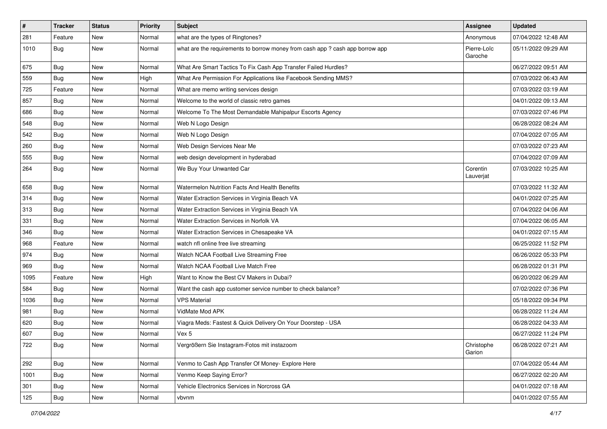| $\vert$ # | <b>Tracker</b> | <b>Status</b> | <b>Priority</b> | Subject                                                                       | <b>Assignee</b>        | <b>Updated</b>      |
|-----------|----------------|---------------|-----------------|-------------------------------------------------------------------------------|------------------------|---------------------|
| 281       | Feature        | New           | Normal          | what are the types of Ringtones?                                              | Anonymous              | 07/04/2022 12:48 AM |
| 1010      | Bug            | New           | Normal          | what are the requirements to borrow money from cash app ? cash app borrow app | Pierre-Loïc<br>Garoche | 05/11/2022 09:29 AM |
| 675       | Bug            | New           | Normal          | What Are Smart Tactics To Fix Cash App Transfer Failed Hurdles?               |                        | 06/27/2022 09:51 AM |
| 559       | Bug            | New           | High            | What Are Permission For Applications like Facebook Sending MMS?               |                        | 07/03/2022 06:43 AM |
| 725       | Feature        | New           | Normal          | What are memo writing services design                                         |                        | 07/03/2022 03:19 AM |
| 857       | Bug            | New           | Normal          | Welcome to the world of classic retro games                                   |                        | 04/01/2022 09:13 AM |
| 686       | Bug            | New           | Normal          | Welcome To The Most Demandable Mahipalpur Escorts Agency                      |                        | 07/03/2022 07:46 PM |
| 548       | Bug            | New           | Normal          | Web N Logo Design                                                             |                        | 06/28/2022 08:24 AM |
| 542       | Bug            | New           | Normal          | Web N Logo Design                                                             |                        | 07/04/2022 07:05 AM |
| 260       | <b>Bug</b>     | New           | Normal          | Web Design Services Near Me                                                   |                        | 07/03/2022 07:23 AM |
| 555       | <b>Bug</b>     | New           | Normal          | web design development in hyderabad                                           |                        | 07/04/2022 07:09 AM |
| 264       | Bug            | New           | Normal          | We Buy Your Unwanted Car                                                      | Corentin<br>Lauverjat  | 07/03/2022 10:25 AM |
| 658       | Bug            | New           | Normal          | Watermelon Nutrition Facts And Health Benefits                                |                        | 07/03/2022 11:32 AM |
| 314       | Bug            | <b>New</b>    | Normal          | Water Extraction Services in Virginia Beach VA                                |                        | 04/01/2022 07:25 AM |
| 313       | Bug            | New           | Normal          | Water Extraction Services in Virginia Beach VA                                |                        | 07/04/2022 04:06 AM |
| 331       | Bug            | <b>New</b>    | Normal          | Water Extraction Services in Norfolk VA                                       |                        | 07/04/2022 06:05 AM |
| 346       | <b>Bug</b>     | New           | Normal          | Water Extraction Services in Chesapeake VA                                    |                        | 04/01/2022 07:15 AM |
| 968       | Feature        | New           | Normal          | watch nfl online free live streaming                                          |                        | 06/25/2022 11:52 PM |
| 974       | Bug            | New           | Normal          | Watch NCAA Football Live Streaming Free                                       |                        | 06/26/2022 05:33 PM |
| 969       | Bug            | New           | Normal          | Watch NCAA Football Live Match Free                                           |                        | 06/28/2022 01:31 PM |
| 1095      | Feature        | <b>New</b>    | High            | Want to Know the Best CV Makers in Dubai?                                     |                        | 06/20/2022 06:29 AM |
| 584       | Bug            | New           | Normal          | Want the cash app customer service number to check balance?                   |                        | 07/02/2022 07:36 PM |
| 1036      | Bug            | New           | Normal          | <b>VPS Material</b>                                                           |                        | 05/18/2022 09:34 PM |
| 981       | Bug            | <b>New</b>    | Normal          | VidMate Mod APK                                                               |                        | 06/28/2022 11:24 AM |
| 620       | Bug            | New           | Normal          | Viagra Meds: Fastest & Quick Delivery On Your Doorstep - USA                  |                        | 06/28/2022 04:33 AM |
| 607       | <b>Bug</b>     | New           | Normal          | Vex 5                                                                         |                        | 06/27/2022 11:24 PM |
| 722       | Bug            | New           | Normal          | Vergrößern Sie Instagram-Fotos mit instazoom                                  | Christophe<br>Garion   | 06/28/2022 07:21 AM |
| 292       | Bug            | New           | Normal          | Venmo to Cash App Transfer Of Money- Explore Here                             |                        | 07/04/2022 05:44 AM |
| 1001      | Bug            | New           | Normal          | Venmo Keep Saying Error?                                                      |                        | 06/27/2022 02:20 AM |
| 301       | <b>Bug</b>     | New           | Normal          | Vehicle Electronics Services in Norcross GA                                   |                        | 04/01/2022 07:18 AM |
| 125       | <b>Bug</b>     | New           | Normal          | vbvnm                                                                         |                        | 04/01/2022 07:55 AM |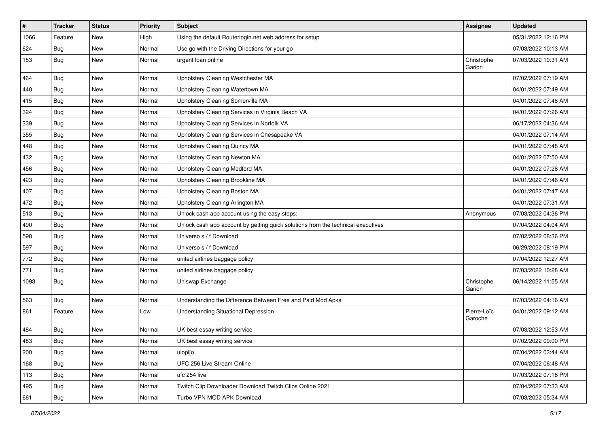| $\vert$ # | <b>Tracker</b> | <b>Status</b> | <b>Priority</b> | <b>Subject</b>                                                                   | Assignee               | <b>Updated</b>      |
|-----------|----------------|---------------|-----------------|----------------------------------------------------------------------------------|------------------------|---------------------|
| 1066      | Feature        | New           | High            | Using the default Routerlogin.net web address for setup                          |                        | 05/31/2022 12:16 PM |
| 624       | Bug            | New           | Normal          | Use go with the Driving Directions for your go                                   |                        | 07/03/2022 10:13 AM |
| 153       | Bug            | New           | Normal          | urgent loan online                                                               | Christophe<br>Garion   | 07/03/2022 10:31 AM |
| 464       | Bug            | New           | Normal          | Upholstery Cleaning Westchester MA                                               |                        | 07/02/2022 07:19 AM |
| 440       | <b>Bug</b>     | New           | Normal          | Upholstery Cleaning Watertown MA                                                 |                        | 04/01/2022 07:49 AM |
| 415       | <b>Bug</b>     | New           | Normal          | Upholstery Cleaning Somerville MA                                                |                        | 04/01/2022 07:48 AM |
| 324       | <b>Bug</b>     | New           | Normal          | Upholstery Cleaning Services in Virginia Beach VA                                |                        | 04/01/2022 07:26 AM |
| 339       | <b>Bug</b>     | New           | Normal          | Upholstery Cleaning Services in Norfolk VA                                       |                        | 06/17/2022 04:36 AM |
| 355       | Bug            | New           | Normal          | Upholstery Cleaning Services in Chesapeake VA                                    |                        | 04/01/2022 07:14 AM |
| 448       | <b>Bug</b>     | New           | Normal          | Upholstery Cleaning Quincy MA                                                    |                        | 04/01/2022 07:48 AM |
| 432       | Bug            | New           | Normal          | Upholstery Cleaning Newton MA                                                    |                        | 04/01/2022 07:50 AM |
| 456       | Bug            | New           | Normal          | Upholstery Cleaning Medford MA                                                   |                        | 04/01/2022 07:28 AM |
| 423       | <b>Bug</b>     | New           | Normal          | Upholstery Cleaning Brookline MA                                                 |                        | 04/01/2022 07:46 AM |
| 407       | Bug            | New           | Normal          | Upholstery Cleaning Boston MA                                                    |                        | 04/01/2022 07:47 AM |
| 472       | <b>Bug</b>     | New           | Normal          | Upholstery Cleaning Arlington MA                                                 |                        | 04/01/2022 07:31 AM |
| 513       | <b>Bug</b>     | New           | Normal          | Unlock cash app account using the easy steps:                                    | Anonymous              | 07/03/2022 04:36 PM |
| 490       | Bug            | New           | Normal          | Unlock cash app account by getting quick solutions from the technical executives |                        | 07/04/2022 04:04 AM |
| 598       | <b>Bug</b>     | New           | Normal          | Universo s / f Download                                                          |                        | 07/02/2022 08:36 PM |
| 597       | Bug            | New           | Normal          | Universo s / f Download                                                          |                        | 06/29/2022 08:19 PM |
| 772       | Bug            | New           | Normal          | united airlines baggage policy                                                   |                        | 07/04/2022 12:27 AM |
| 771       | Bug            | New           | Normal          | united airlines baggage policy                                                   |                        | 07/03/2022 10:28 AM |
| 1093      | Bug            | New           | Normal          | Uniswap Exchange                                                                 | Christophe<br>Garion   | 06/14/2022 11:55 AM |
| 563       | Bug            | New           | Normal          | Understanding the Difference Between Free and Paid Mod Apks                      |                        | 07/03/2022 04:16 AM |
| 861       | Feature        | New           | Low             | Understanding Situational Depression                                             | Pierre-Loïc<br>Garoche | 04/01/2022 09:12 AM |
| 484       | <b>Bug</b>     | New           | Normal          | UK best essay writing service                                                    |                        | 07/03/2022 12:53 AM |
| 483       | Bug            | New           | Normal          | UK best essay writing service                                                    |                        | 07/02/2022 09:00 PM |
| 200       | Bug            | New           | Normal          | uiopi[o                                                                          |                        | 07/04/2022 03:44 AM |
| 168       | Bug            | New           | Normal          | UFC 256 Live Stream Online                                                       |                        | 07/04/2022 06:48 AM |
| 113       | Bug            | New           | Normal          | ufc 254 live                                                                     |                        | 07/03/2022 07:18 PM |
| 495       | Bug            | New           | Normal          | Twitch Clip Downloader Download Twitch Clips Online 2021                         |                        | 07/04/2022 07:33 AM |
| 661       | <b>Bug</b>     | New           | Normal          | Turbo VPN MOD APK Download                                                       |                        | 07/03/2022 05:34 AM |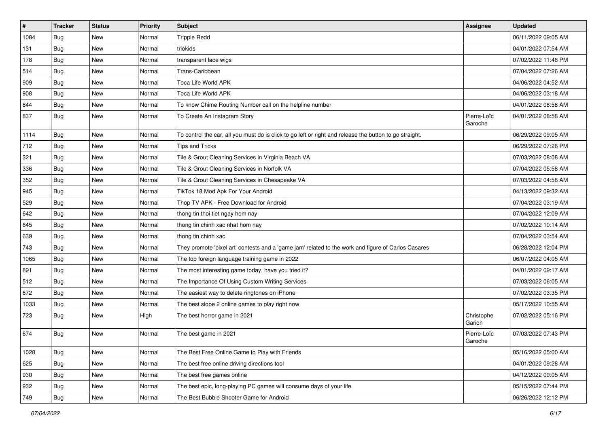| $\sharp$ | <b>Tracker</b> | <b>Status</b> | <b>Priority</b> | <b>Subject</b>                                                                                          | Assignee               | <b>Updated</b>      |
|----------|----------------|---------------|-----------------|---------------------------------------------------------------------------------------------------------|------------------------|---------------------|
| 1084     | <b>Bug</b>     | New           | Normal          | <b>Trippie Redd</b>                                                                                     |                        | 06/11/2022 09:05 AM |
| 131      | Bug            | New           | Normal          | triokids                                                                                                |                        | 04/01/2022 07:54 AM |
| 178      | Bug            | New           | Normal          | transparent lace wigs                                                                                   |                        | 07/02/2022 11:48 PM |
| 514      | <b>Bug</b>     | New           | Normal          | Trans-Caribbean                                                                                         |                        | 07/04/2022 07:26 AM |
| 909      | Bug            | New           | Normal          | Toca Life World APK                                                                                     |                        | 04/06/2022 04:52 AM |
| 908      | <b>Bug</b>     | New           | Normal          | Toca Life World APK                                                                                     |                        | 04/06/2022 03:18 AM |
| 844      | Bug            | New           | Normal          | To know Chime Routing Number call on the helpline number                                                |                        | 04/01/2022 08:58 AM |
| 837      | Bug            | New           | Normal          | To Create An Instagram Story                                                                            | Pierre-Loïc<br>Garoche | 04/01/2022 08:58 AM |
| 1114     | <b>Bug</b>     | <b>New</b>    | Normal          | To control the car, all you must do is click to go left or right and release the button to go straight. |                        | 06/29/2022 09:05 AM |
| 712      | Bug            | New           | Normal          | <b>Tips and Tricks</b>                                                                                  |                        | 06/29/2022 07:26 PM |
| 321      | <b>Bug</b>     | New           | Normal          | Tile & Grout Cleaning Services in Virginia Beach VA                                                     |                        | 07/03/2022 08:08 AM |
| 336      | Bug            | New           | Normal          | Tile & Grout Cleaning Services in Norfolk VA                                                            |                        | 07/04/2022 05:58 AM |
| 352      | <b>Bug</b>     | New           | Normal          | Tile & Grout Cleaning Services in Chesapeake VA                                                         |                        | 07/03/2022 04:58 AM |
| 945      | Bug            | New           | Normal          | TikTok 18 Mod Apk For Your Android                                                                      |                        | 04/13/2022 09:32 AM |
| 529      | <b>Bug</b>     | New           | Normal          | Thop TV APK - Free Download for Android                                                                 |                        | 07/04/2022 03:19 AM |
| 642      | <b>Bug</b>     | New           | Normal          | thong tin thoi tiet ngay hom nay                                                                        |                        | 07/04/2022 12:09 AM |
| 645      | Bug            | New           | Normal          | thong tin chinh xac nhat hom nay                                                                        |                        | 07/02/2022 10:14 AM |
| 639      | Bug            | New           | Normal          | thong tin chinh xac                                                                                     |                        | 07/04/2022 03:54 AM |
| 743      | Bug            | New           | Normal          | They promote 'pixel art' contests and a 'game jam' related to the work and figure of Carlos Casares     |                        | 06/28/2022 12:04 PM |
| 1065     | Bug            | New           | Normal          | The top foreign language training game in 2022                                                          |                        | 06/07/2022 04:05 AM |
| 891      | Bug            | New           | Normal          | The most interesting game today, have you tried it?                                                     |                        | 04/01/2022 09:17 AM |
| 512      | Bug            | New           | Normal          | The Importance Of Using Custom Writing Services                                                         |                        | 07/03/2022 06:05 AM |
| 672      | Bug            | New           | Normal          | The easiest way to delete ringtones on iPhone                                                           |                        | 07/02/2022 03:35 PM |
| 1033     | <b>Bug</b>     | New           | Normal          | The best slope 2 online games to play right now                                                         |                        | 05/17/2022 10:55 AM |
| 723      | Bug            | New           | High            | The best horror game in 2021                                                                            | Christophe<br>Garion   | 07/02/2022 05:16 PM |
| 674      | Bug            | New           | Normal          | The best game in 2021                                                                                   | Pierre-Loïc<br>Garoche | 07/03/2022 07:43 PM |
| 1028     | Bug            | New           | Normal          | The Best Free Online Game to Play with Friends                                                          |                        | 05/16/2022 05:00 AM |
| 625      | Bug            | New           | Normal          | The best free online driving directions tool                                                            |                        | 04/01/2022 09:28 AM |
| 930      | Bug            | New           | Normal          | The best free games online                                                                              |                        | 04/12/2022 09:05 AM |
| 932      | Bug            | New           | Normal          | The best epic, long-playing PC games will consume days of your life.                                    |                        | 05/15/2022 07:44 PM |
| 749      | <b>Bug</b>     | New           | Normal          | The Best Bubble Shooter Game for Android                                                                |                        | 06/26/2022 12:12 PM |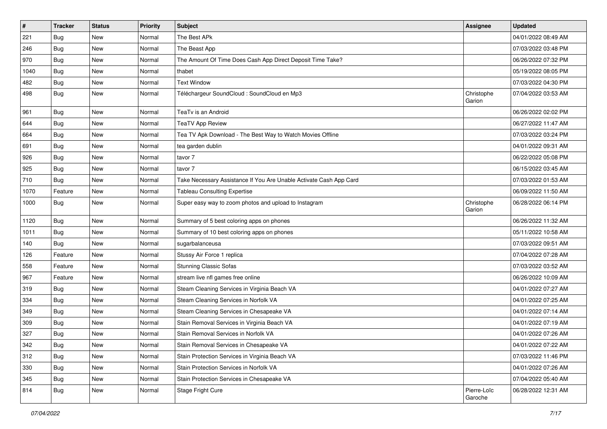| $\vert$ # | <b>Tracker</b> | <b>Status</b> | <b>Priority</b> | Subject                                                            | <b>Assignee</b>        | <b>Updated</b>      |
|-----------|----------------|---------------|-----------------|--------------------------------------------------------------------|------------------------|---------------------|
| 221       | <b>Bug</b>     | New           | Normal          | The Best APk                                                       |                        | 04/01/2022 08:49 AM |
| 246       | Bug            | New           | Normal          | The Beast App                                                      |                        | 07/03/2022 03:48 PM |
| 970       | Bug            | New           | Normal          | The Amount Of Time Does Cash App Direct Deposit Time Take?         |                        | 06/26/2022 07:32 PM |
| 1040      | Bug            | New           | Normal          | thabet                                                             |                        | 05/19/2022 08:05 PM |
| 482       | Bug            | <b>New</b>    | Normal          | <b>Text Window</b>                                                 |                        | 07/03/2022 04:30 PM |
| 498       | Bug            | New           | Normal          | Téléchargeur SoundCloud : SoundCloud en Mp3                        | Christophe<br>Garion   | 07/04/2022 03:53 AM |
| 961       | Bug            | New           | Normal          | TeaTv is an Android                                                |                        | 06/26/2022 02:02 PM |
| 644       | Bug            | New           | Normal          | <b>TeaTV App Review</b>                                            |                        | 06/27/2022 11:47 AM |
| 664       | Bug            | New           | Normal          | Tea TV Apk Download - The Best Way to Watch Movies Offline         |                        | 07/03/2022 03:24 PM |
| 691       | <b>Bug</b>     | New           | Normal          | tea garden dublin                                                  |                        | 04/01/2022 09:31 AM |
| 926       | <b>Bug</b>     | New           | Normal          | tavor 7                                                            |                        | 06/22/2022 05:08 PM |
| 925       | Bug            | New           | Normal          | tavor 7                                                            |                        | 06/15/2022 03:45 AM |
| 710       | Bug            | New           | Normal          | Take Necessary Assistance If You Are Unable Activate Cash App Card |                        | 07/03/2022 01:53 AM |
| 1070      | Feature        | New           | Normal          | <b>Tableau Consulting Expertise</b>                                |                        | 06/09/2022 11:50 AM |
| 1000      | Bug            | New           | Normal          | Super easy way to zoom photos and upload to Instagram              | Christophe<br>Garion   | 06/28/2022 06:14 PM |
| 1120      | Bug            | New           | Normal          | Summary of 5 best coloring apps on phones                          |                        | 06/26/2022 11:32 AM |
| 1011      | Bug            | New           | Normal          | Summary of 10 best coloring apps on phones                         |                        | 05/11/2022 10:58 AM |
| 140       | <b>Bug</b>     | New           | Normal          | sugarbalanceusa                                                    |                        | 07/03/2022 09:51 AM |
| 126       | Feature        | New           | Normal          | Stussy Air Force 1 replica                                         |                        | 07/04/2022 07:28 AM |
| 558       | Feature        | New           | Normal          | <b>Stunning Classic Sofas</b>                                      |                        | 07/03/2022 03:52 AM |
| 967       | Feature        | <b>New</b>    | Normal          | stream live nfl games free online                                  |                        | 06/26/2022 10:09 AM |
| 319       | Bug            | New           | Normal          | Steam Cleaning Services in Virginia Beach VA                       |                        | 04/01/2022 07:27 AM |
| 334       | Bug            | New           | Normal          | Steam Cleaning Services in Norfolk VA                              |                        | 04/01/2022 07:25 AM |
| 349       | Bug            | <b>New</b>    | Normal          | Steam Cleaning Services in Chesapeake VA                           |                        | 04/01/2022 07:14 AM |
| 309       | Bug            | New           | Normal          | Stain Removal Services in Virginia Beach VA                        |                        | 04/01/2022 07:19 AM |
| 327       | Bug            | New           | Normal          | Stain Removal Services in Norfolk VA                               |                        | 04/01/2022 07:26 AM |
| 342       | Bug            | New           | Normal          | Stain Removal Services in Chesapeake VA                            |                        | 04/01/2022 07:22 AM |
| 312       | Bug            | New           | Normal          | Stain Protection Services in Virginia Beach VA                     |                        | 07/03/2022 11:46 PM |
| 330       | Bug            | New           | Normal          | Stain Protection Services in Norfolk VA                            |                        | 04/01/2022 07:26 AM |
| 345       | Bug            | New           | Normal          | Stain Protection Services in Chesapeake VA                         |                        | 07/04/2022 05:40 AM |
| 814       | <b>Bug</b>     | New           | Normal          | Stage Fright Cure                                                  | Pierre-Loïc<br>Garoche | 06/28/2022 12:31 AM |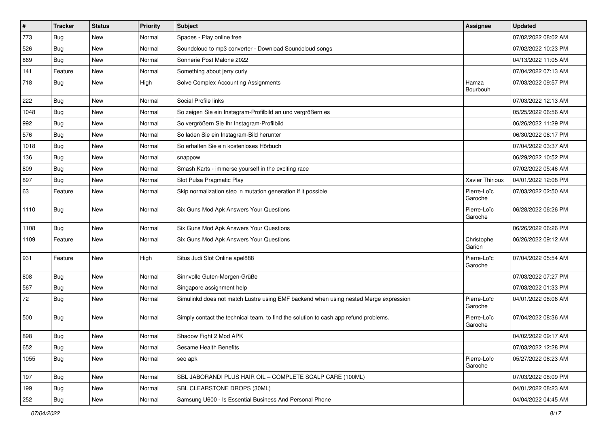| $\pmb{\sharp}$ | <b>Tracker</b> | <b>Status</b> | <b>Priority</b> | <b>Subject</b>                                                                       | Assignee               | <b>Updated</b>      |
|----------------|----------------|---------------|-----------------|--------------------------------------------------------------------------------------|------------------------|---------------------|
| 773            | <b>Bug</b>     | New           | Normal          | Spades - Play online free                                                            |                        | 07/02/2022 08:02 AM |
| 526            | Bug            | New           | Normal          | Soundcloud to mp3 converter - Download Soundcloud songs                              |                        | 07/02/2022 10:23 PM |
| 869            | Bug            | New           | Normal          | Sonnerie Post Malone 2022                                                            |                        | 04/13/2022 11:05 AM |
| 141            | Feature        | New           | Normal          | Something about jerry curly                                                          |                        | 07/04/2022 07:13 AM |
| 718            | Bug            | New           | High            | Solve Complex Accounting Assignments                                                 | Hamza<br>Bourbouh      | 07/03/2022 09:57 PM |
| 222            | Bug            | New           | Normal          | Social Profile links                                                                 |                        | 07/03/2022 12:13 AM |
| 1048           | Bug            | New           | Normal          | So zeigen Sie ein Instagram-Profilbild an und vergrößern es                          |                        | 05/25/2022 06:56 AM |
| 992            | Bug            | New           | Normal          | So vergrößern Sie Ihr Instagram-Profilbild                                           |                        | 06/26/2022 11:29 PM |
| 576            | Bug            | New           | Normal          | So laden Sie ein Instagram-Bild herunter                                             |                        | 06/30/2022 06:17 PM |
| 1018           | Bug            | New           | Normal          | So erhalten Sie ein kostenloses Hörbuch                                              |                        | 07/04/2022 03:37 AM |
| 136            | Bug            | New           | Normal          | snappow                                                                              |                        | 06/29/2022 10:52 PM |
| 809            | Bug            | New           | Normal          | Smash Karts - immerse yourself in the exciting race                                  |                        | 07/02/2022 05:46 AM |
| 897            | <b>Bug</b>     | New           | Normal          | Slot Pulsa Pragmatic Play                                                            | Xavier Thirioux        | 04/01/2022 12:08 PM |
| 63             | Feature        | New           | Normal          | Skip normalization step in mutation generation if it possible                        | Pierre-Loïc<br>Garoche | 07/03/2022 02:50 AM |
| 1110           | Bug            | New           | Normal          | Six Guns Mod Apk Answers Your Questions                                              | Pierre-Loïc<br>Garoche | 06/28/2022 06:26 PM |
| 1108           | Bug            | New           | Normal          | Six Guns Mod Apk Answers Your Questions                                              |                        | 06/26/2022 06:26 PM |
| 1109           | Feature        | New           | Normal          | Six Guns Mod Apk Answers Your Questions                                              | Christophe<br>Garion   | 06/26/2022 09:12 AM |
| 931            | Feature        | <b>New</b>    | High            | Situs Judi Slot Online apel888                                                       | Pierre-Loïc<br>Garoche | 07/04/2022 05:54 AM |
| 808            | Bug            | New           | Normal          | Sinnvolle Guten-Morgen-Grüße                                                         |                        | 07/03/2022 07:27 PM |
| 567            | Bug            | New           | Normal          | Singapore assignment help                                                            |                        | 07/03/2022 01:33 PM |
| 72             | Bug            | New           | Normal          | Simulinkd does not match Lustre using EMF backend when using nested Merge expression | Pierre-Loïc<br>Garoche | 04/01/2022 08:06 AM |
| 500            | Bug            | New           | Normal          | Simply contact the technical team, to find the solution to cash app refund problems. | Pierre-Loïc<br>Garoche | 07/04/2022 08:36 AM |
| 898            | Bug            | New           | Normal          | Shadow Fight 2 Mod APK                                                               |                        | 04/02/2022 09:17 AM |
| 652            | Bug            | New           | Normal          | Sesame Health Benefits                                                               |                        | 07/03/2022 12:28 PM |
| 1055           | Bug            | New           | Normal          | seo apk                                                                              | Pierre-Loïc<br>Garoche | 05/27/2022 06:23 AM |
| 197            | <b>Bug</b>     | New           | Normal          | SBL JABORANDI PLUS HAIR OIL - COMPLETE SCALP CARE (100ML)                            |                        | 07/03/2022 08:09 PM |
| 199            | Bug            | New           | Normal          | SBL CLEARSTONE DROPS (30ML)                                                          |                        | 04/01/2022 08:23 AM |
| 252            | Bug            | New           | Normal          | Samsung U600 - Is Essential Business And Personal Phone                              |                        | 04/04/2022 04:45 AM |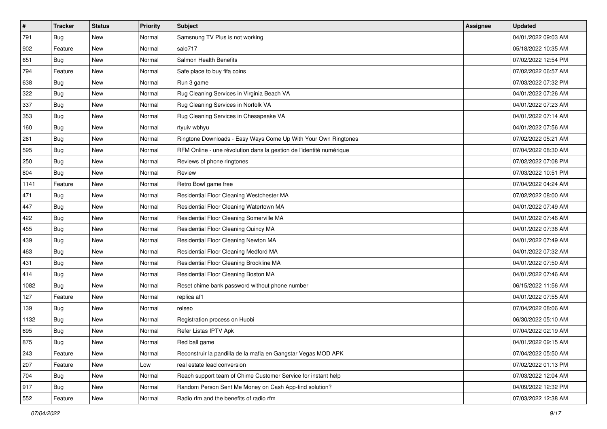| #    | <b>Tracker</b> | <b>Status</b> | <b>Priority</b> | <b>Subject</b>                                                      | <b>Assignee</b> | <b>Updated</b>      |
|------|----------------|---------------|-----------------|---------------------------------------------------------------------|-----------------|---------------------|
| 791  | <b>Bug</b>     | New           | Normal          | Samsnung TV Plus is not working                                     |                 | 04/01/2022 09:03 AM |
| 902  | Feature        | New           | Normal          | salo717                                                             |                 | 05/18/2022 10:35 AM |
| 651  | <b>Bug</b>     | New           | Normal          | Salmon Health Benefits                                              |                 | 07/02/2022 12:54 PM |
| 794  | Feature        | New           | Normal          | Safe place to buy fifa coins                                        |                 | 07/02/2022 06:57 AM |
| 638  | Bug            | New           | Normal          | Run 3 game                                                          |                 | 07/03/2022 07:32 PM |
| 322  | <b>Bug</b>     | New           | Normal          | Rug Cleaning Services in Virginia Beach VA                          |                 | 04/01/2022 07:26 AM |
| 337  | Bug            | New           | Normal          | Rug Cleaning Services in Norfolk VA                                 |                 | 04/01/2022 07:23 AM |
| 353  | <b>Bug</b>     | New           | Normal          | Rug Cleaning Services in Chesapeake VA                              |                 | 04/01/2022 07:14 AM |
| 160  | <b>Bug</b>     | New           | Normal          | rtyuiv wbhyu                                                        |                 | 04/01/2022 07:56 AM |
| 261  | Bug            | New           | Normal          | Ringtone Downloads - Easy Ways Come Up With Your Own Ringtones      |                 | 07/02/2022 05:21 AM |
| 595  | <b>Bug</b>     | New           | Normal          | RFM Online - une révolution dans la gestion de l'identité numérique |                 | 07/04/2022 08:30 AM |
| 250  | <b>Bug</b>     | New           | Normal          | Reviews of phone ringtones                                          |                 | 07/02/2022 07:08 PM |
| 804  | Bug            | New           | Normal          | Review                                                              |                 | 07/03/2022 10:51 PM |
| 1141 | Feature        | New           | Normal          | Retro Bowl game free                                                |                 | 07/04/2022 04:24 AM |
| 471  | Bug            | New           | Normal          | Residential Floor Cleaning Westchester MA                           |                 | 07/02/2022 08:00 AM |
| 447  | <b>Bug</b>     | New           | Normal          | Residential Floor Cleaning Watertown MA                             |                 | 04/01/2022 07:49 AM |
| 422  | <b>Bug</b>     | New           | Normal          | Residential Floor Cleaning Somerville MA                            |                 | 04/01/2022 07:46 AM |
| 455  | <b>Bug</b>     | New           | Normal          | Residential Floor Cleaning Quincy MA                                |                 | 04/01/2022 07:38 AM |
| 439  | <b>Bug</b>     | New           | Normal          | Residential Floor Cleaning Newton MA                                |                 | 04/01/2022 07:49 AM |
| 463  | Bug            | New           | Normal          | Residential Floor Cleaning Medford MA                               |                 | 04/01/2022 07:32 AM |
| 431  | <b>Bug</b>     | New           | Normal          | Residential Floor Cleaning Brookline MA                             |                 | 04/01/2022 07:50 AM |
| 414  | <b>Bug</b>     | New           | Normal          | Residential Floor Cleaning Boston MA                                |                 | 04/01/2022 07:46 AM |
| 1082 | Bug            | New           | Normal          | Reset chime bank password without phone number                      |                 | 06/15/2022 11:56 AM |
| 127  | Feature        | New           | Normal          | replica af1                                                         |                 | 04/01/2022 07:55 AM |
| 139  | <b>Bug</b>     | New           | Normal          | relseo                                                              |                 | 07/04/2022 08:06 AM |
| 1132 | Bug            | New           | Normal          | Registration process on Huobi                                       |                 | 06/30/2022 05:10 AM |
| 695  | <b>Bug</b>     | New           | Normal          | Refer Listas IPTV Apk                                               |                 | 07/04/2022 02:19 AM |
| 875  | <b>Bug</b>     | New           | Normal          | Red ball game                                                       |                 | 04/01/2022 09:15 AM |
| 243  | Feature        | New           | Normal          | Reconstruir la pandilla de la mafia en Gangstar Vegas MOD APK       |                 | 07/04/2022 05:50 AM |
| 207  | Feature        | New           | Low             | real estate lead conversion                                         |                 | 07/02/2022 01:13 PM |
| 704  | <b>Bug</b>     | New           | Normal          | Reach support team of Chime Customer Service for instant help       |                 | 07/03/2022 12:04 AM |
| 917  | <b>Bug</b>     | <b>New</b>    | Normal          | Random Person Sent Me Money on Cash App-find solution?              |                 | 04/09/2022 12:32 PM |
| 552  | Feature        | New           | Normal          | Radio rfm and the benefits of radio rfm                             |                 | 07/03/2022 12:38 AM |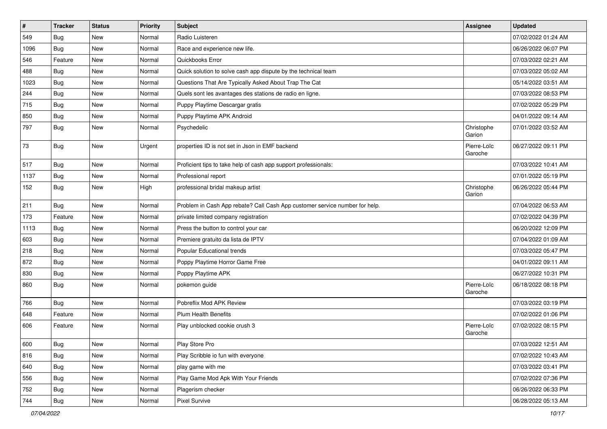| #    | <b>Tracker</b> | <b>Status</b> | Priority | Subject                                                                     | Assignee               | <b>Updated</b>      |
|------|----------------|---------------|----------|-----------------------------------------------------------------------------|------------------------|---------------------|
| 549  | Bug            | New           | Normal   | Radio Luisteren                                                             |                        | 07/02/2022 01:24 AM |
| 1096 | Bug            | <b>New</b>    | Normal   | Race and experience new life.                                               |                        | 06/26/2022 06:07 PM |
| 546  | Feature        | New           | Normal   | Quickbooks Error                                                            |                        | 07/03/2022 02:21 AM |
| 488  | Bug            | New           | Normal   | Quick solution to solve cash app dispute by the technical team              |                        | 07/03/2022 05:02 AM |
| 1023 | Bug            | <b>New</b>    | Normal   | Questions That Are Typically Asked About Trap The Cat                       |                        | 05/14/2022 03:51 AM |
| 244  | Bug            | New           | Normal   | Quels sont les avantages des stations de radio en ligne.                    |                        | 07/03/2022 08:53 PM |
| 715  | Bug            | New           | Normal   | Puppy Playtime Descargar gratis                                             |                        | 07/02/2022 05:29 PM |
| 850  | Bug            | <b>New</b>    | Normal   | Puppy Playtime APK Android                                                  |                        | 04/01/2022 09:14 AM |
| 797  | Bug            | New           | Normal   | Psychedelic                                                                 | Christophe<br>Garion   | 07/01/2022 03:52 AM |
| 73   | Bug            | New           | Urgent   | properties ID is not set in Json in EMF backend                             | Pierre-Loïc<br>Garoche | 06/27/2022 09:11 PM |
| 517  | Bug            | New           | Normal   | Proficient tips to take help of cash app support professionals:             |                        | 07/03/2022 10:41 AM |
| 1137 | Bug            | New           | Normal   | Professional report                                                         |                        | 07/01/2022 05:19 PM |
| 152  | Bug            | New           | High     | professional bridal makeup artist                                           | Christophe<br>Garion   | 06/26/2022 05:44 PM |
| 211  | Bug            | <b>New</b>    | Normal   | Problem in Cash App rebate? Call Cash App customer service number for help. |                        | 07/04/2022 06:53 AM |
| 173  | Feature        | New           | Normal   | private limited company registration                                        |                        | 07/02/2022 04:39 PM |
| 1113 | Bug            | New           | Normal   | Press the button to control your car                                        |                        | 06/20/2022 12:09 PM |
| 603  | Bug            | <b>New</b>    | Normal   | Premiere gratuito da lista de IPTV                                          |                        | 07/04/2022 01:09 AM |
| 218  | Bug            | <b>New</b>    | Normal   | Popular Educational trends                                                  |                        | 07/03/2022 05:47 PM |
| 872  | Bug            | New           | Normal   | Poppy Playtime Horror Game Free                                             |                        | 04/01/2022 09:11 AM |
| 830  | Bug            | <b>New</b>    | Normal   | Poppy Playtime APK                                                          |                        | 06/27/2022 10:31 PM |
| 860  | Bug            | New           | Normal   | pokemon guide                                                               | Pierre-Loïc<br>Garoche | 06/18/2022 08:18 PM |
| 766  | Bug            | New           | Normal   | Pobreflix Mod APK Review                                                    |                        | 07/03/2022 03:19 PM |
| 648  | Feature        | New           | Normal   | <b>Plum Health Benefits</b>                                                 |                        | 07/02/2022 01:06 PM |
| 606  | Feature        | New           | Normal   | Play unblocked cookie crush 3                                               | Pierre-Loïc<br>Garoche | 07/02/2022 08:15 PM |
| 600  | Bug            | New           | Normal   | Play Store Pro                                                              |                        | 07/03/2022 12:51 AM |
| 816  | Bug            | New           | Normal   | Play Scribble io fun with everyone                                          |                        | 07/02/2022 10:43 AM |
| 640  | Bug            | New           | Normal   | play game with me                                                           |                        | 07/03/2022 03:41 PM |
| 556  | Bug            | New           | Normal   | Play Game Mod Apk With Your Friends                                         |                        | 07/02/2022 07:36 PM |
| 752  | Bug            | New           | Normal   | Plagerism checker                                                           |                        | 06/26/2022 06:33 PM |
| 744  | Bug            | New           | Normal   | Pixel Survive                                                               |                        | 06/28/2022 05:13 AM |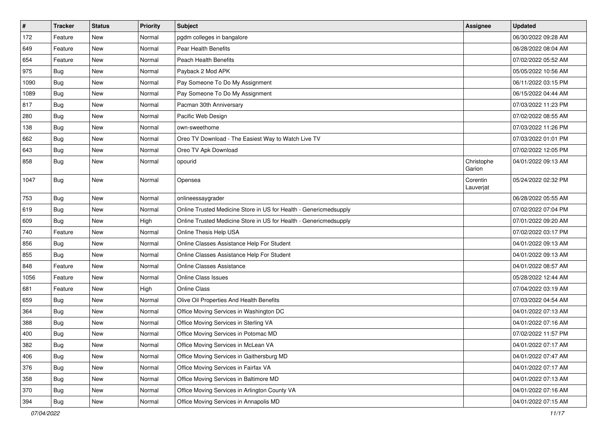| $\pmb{\#}$ | <b>Tracker</b> | <b>Status</b> | Priority | Subject                                                           | Assignee              | <b>Updated</b>      |
|------------|----------------|---------------|----------|-------------------------------------------------------------------|-----------------------|---------------------|
| 172        | Feature        | New           | Normal   | pgdm colleges in bangalore                                        |                       | 06/30/2022 09:28 AM |
| 649        | Feature        | New           | Normal   | Pear Health Benefits                                              |                       | 06/28/2022 08:04 AM |
| 654        | Feature        | New           | Normal   | <b>Peach Health Benefits</b>                                      |                       | 07/02/2022 05:52 AM |
| 975        | Bug            | <b>New</b>    | Normal   | Payback 2 Mod APK                                                 |                       | 05/05/2022 10:56 AM |
| 1090       | Bug            | <b>New</b>    | Normal   | Pay Someone To Do My Assignment                                   |                       | 06/11/2022 03:15 PM |
| 1089       | <b>Bug</b>     | New           | Normal   | Pay Someone To Do My Assignment                                   |                       | 06/15/2022 04:44 AM |
| 817        | <b>Bug</b>     | <b>New</b>    | Normal   | Pacman 30th Anniversary                                           |                       | 07/03/2022 11:23 PM |
| 280        | <b>Bug</b>     | <b>New</b>    | Normal   | Pacific Web Design                                                |                       | 07/02/2022 08:55 AM |
| 138        | <b>Bug</b>     | <b>New</b>    | Normal   | own-sweethome                                                     |                       | 07/03/2022 11:26 PM |
| 662        | Bug            | <b>New</b>    | Normal   | Oreo TV Download - The Easiest Way to Watch Live TV               |                       | 07/03/2022 01:01 PM |
| 643        | <b>Bug</b>     | New           | Normal   | Oreo TV Apk Download                                              |                       | 07/02/2022 12:05 PM |
| 858        | <b>Bug</b>     | New           | Normal   | opourid                                                           | Christophe<br>Garion  | 04/01/2022 09:13 AM |
| 1047       | Bug            | <b>New</b>    | Normal   | Opensea                                                           | Corentin<br>Lauverjat | 05/24/2022 02:32 PM |
| 753        | <b>Bug</b>     | <b>New</b>    | Normal   | onlineessaygrader                                                 |                       | 06/28/2022 05:55 AM |
| 619        | <b>Bug</b>     | <b>New</b>    | Normal   | Online Trusted Medicine Store in US for Health - Genericmedsupply |                       | 07/02/2022 07:04 PM |
| 609        | <b>Bug</b>     | <b>New</b>    | High     | Online Trusted Medicine Store in US for Health - Genericmedsupply |                       | 07/01/2022 09:20 AM |
| 740        | Feature        | New           | Normal   | Online Thesis Help USA                                            |                       | 07/02/2022 03:17 PM |
| 856        | <b>Bug</b>     | New           | Normal   | Online Classes Assistance Help For Student                        |                       | 04/01/2022 09:13 AM |
| 855        | Bug            | <b>New</b>    | Normal   | Online Classes Assistance Help For Student                        |                       | 04/01/2022 09:13 AM |
| 848        | Feature        | <b>New</b>    | Normal   | <b>Online Classes Assistance</b>                                  |                       | 04/01/2022 08:57 AM |
| 1056       | Feature        | New           | Normal   | <b>Online Class Issues</b>                                        |                       | 05/28/2022 12:44 AM |
| 681        | Feature        | New           | High     | Online Class                                                      |                       | 07/04/2022 03:19 AM |
| 659        | Bug            | New           | Normal   | Olive Oil Properties And Health Benefits                          |                       | 07/03/2022 04:54 AM |
| 364        | <b>Bug</b>     | <b>New</b>    | Normal   | Office Moving Services in Washington DC                           |                       | 04/01/2022 07:13 AM |
| 388        | <b>Bug</b>     | New           | Normal   | Office Moving Services in Sterling VA                             |                       | 04/01/2022 07:16 AM |
| 400        | Bug            | New           | Normal   | Office Moving Services in Potomac MD                              |                       | 07/02/2022 11:57 PM |
| 382        | Bug            | New           | Normal   | Office Moving Services in McLean VA                               |                       | 04/01/2022 07:17 AM |
| 406        | Bug            | New           | Normal   | Office Moving Services in Gaithersburg MD                         |                       | 04/01/2022 07:47 AM |
| 376        | Bug            | New           | Normal   | Office Moving Services in Fairfax VA                              |                       | 04/01/2022 07:17 AM |
| 358        | Bug            | New           | Normal   | Office Moving Services in Baltimore MD                            |                       | 04/01/2022 07:13 AM |
| 370        | Bug            | New           | Normal   | Office Moving Services in Arlington County VA                     |                       | 04/01/2022 07:16 AM |
| 394        | <b>Bug</b>     | New           | Normal   | Office Moving Services in Annapolis MD                            |                       | 04/01/2022 07:15 AM |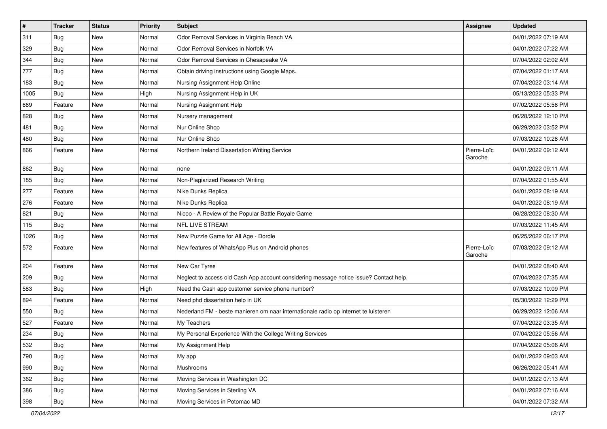| $\sharp$ | <b>Tracker</b> | <b>Status</b> | <b>Priority</b> | <b>Subject</b>                                                                         | Assignee               | <b>Updated</b>      |
|----------|----------------|---------------|-----------------|----------------------------------------------------------------------------------------|------------------------|---------------------|
| 311      | Bug            | New           | Normal          | Odor Removal Services in Virginia Beach VA                                             |                        | 04/01/2022 07:19 AM |
| 329      | Bug            | New           | Normal          | Odor Removal Services in Norfolk VA                                                    |                        | 04/01/2022 07:22 AM |
| 344      | Bug            | New           | Normal          | Odor Removal Services in Chesapeake VA                                                 |                        | 07/04/2022 02:02 AM |
| 777      | Bug            | New           | Normal          | Obtain driving instructions using Google Maps.                                         |                        | 07/04/2022 01:17 AM |
| 183      | Bug            | <b>New</b>    | Normal          | Nursing Assignment Help Online                                                         |                        | 07/04/2022 03:14 AM |
| 1005     | Bug            | New           | High            | Nursing Assignment Help in UK                                                          |                        | 05/13/2022 05:33 PM |
| 669      | Feature        | <b>New</b>    | Normal          | Nursing Assignment Help                                                                |                        | 07/02/2022 05:58 PM |
| 828      | Bug            | New           | Normal          | Nursery management                                                                     |                        | 06/28/2022 12:10 PM |
| 481      | Bug            | New           | Normal          | Nur Online Shop                                                                        |                        | 06/29/2022 03:52 PM |
| 480      | Bug            | <b>New</b>    | Normal          | Nur Online Shop                                                                        |                        | 07/03/2022 10:28 AM |
| 866      | Feature        | New           | Normal          | Northern Ireland Dissertation Writing Service                                          | Pierre-Loïc<br>Garoche | 04/01/2022 09:12 AM |
| 862      | Bug            | New           | Normal          | none                                                                                   |                        | 04/01/2022 09:11 AM |
| 185      | Bug            | <b>New</b>    | Normal          | Non-Plagiarized Research Writing                                                       |                        | 07/04/2022 01:55 AM |
| 277      | Feature        | <b>New</b>    | Normal          | Nike Dunks Replica                                                                     |                        | 04/01/2022 08:19 AM |
| 276      | Feature        | New           | Normal          | Nike Dunks Replica                                                                     |                        | 04/01/2022 08:19 AM |
| 821      | Bug            | New           | Normal          | Nicoo - A Review of the Popular Battle Royale Game                                     |                        | 06/28/2022 08:30 AM |
| 115      | Bug            | <b>New</b>    | Normal          | <b>NFL LIVE STREAM</b>                                                                 |                        | 07/03/2022 11:45 AM |
| 1026     | Bug            | New           | Normal          | New Puzzle Game for All Age - Dordle                                                   |                        | 06/25/2022 06:17 PM |
| 572      | Feature        | New           | Normal          | New features of WhatsApp Plus on Android phones                                        | Pierre-Loïc<br>Garoche | 07/03/2022 09:12 AM |
| 204      | Feature        | <b>New</b>    | Normal          | New Car Tyres                                                                          |                        | 04/01/2022 08:40 AM |
| 209      | Bug            | <b>New</b>    | Normal          | Neglect to access old Cash App account considering message notice issue? Contact help. |                        | 07/04/2022 07:35 AM |
| 583      | Bug            | New           | High            | Need the Cash app customer service phone number?                                       |                        | 07/03/2022 10:09 PM |
| 894      | Feature        | New           | Normal          | Need phd dissertation help in UK                                                       |                        | 05/30/2022 12:29 PM |
| 550      | Bug            | <b>New</b>    | Normal          | Nederland FM - beste manieren om naar internationale radio op internet te luisteren    |                        | 06/29/2022 12:06 AM |
| 527      | Feature        | New           | Normal          | My Teachers                                                                            |                        | 07/04/2022 03:35 AM |
| 234      | Bug            | New           | Normal          | My Personal Experience With the College Writing Services                               |                        | 07/04/2022 05:56 AM |
| 532      | Bug            | New           | Normal          | My Assignment Help                                                                     |                        | 07/04/2022 05:06 AM |
| 790      | Bug            | New           | Normal          | My app                                                                                 |                        | 04/01/2022 09:03 AM |
| 990      | Bug            | New           | Normal          | Mushrooms                                                                              |                        | 06/26/2022 05:41 AM |
| 362      | Bug            | New           | Normal          | Moving Services in Washington DC                                                       |                        | 04/01/2022 07:13 AM |
| 386      | <b>Bug</b>     | New           | Normal          | Moving Services in Sterling VA                                                         |                        | 04/01/2022 07:16 AM |
| 398      | <b>Bug</b>     | New           | Normal          | Moving Services in Potomac MD                                                          |                        | 04/01/2022 07:32 AM |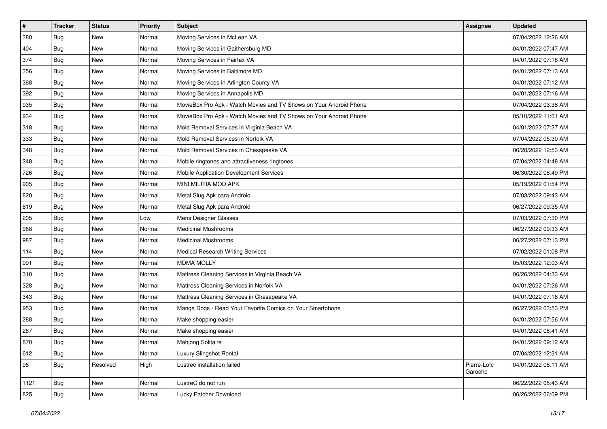| $\pmb{\#}$ | <b>Tracker</b> | <b>Status</b> | <b>Priority</b> | Subject                                                            | Assignee               | <b>Updated</b>      |
|------------|----------------|---------------|-----------------|--------------------------------------------------------------------|------------------------|---------------------|
| 380        | <b>Bug</b>     | New           | Normal          | Moving Services in McLean VA                                       |                        | 07/04/2022 12:26 AM |
| 404        | <b>Bug</b>     | <b>New</b>    | Normal          | Moving Services in Gaithersburg MD                                 |                        | 04/01/2022 07:47 AM |
| 374        | <b>Bug</b>     | New           | Normal          | Moving Services in Fairfax VA                                      |                        | 04/01/2022 07:18 AM |
| 356        | Bug            | New           | Normal          | Moving Services in Baltimore MD                                    |                        | 04/01/2022 07:13 AM |
| 368        | <b>Bug</b>     | <b>New</b>    | Normal          | Moving Services in Arlington County VA                             |                        | 04/01/2022 07:12 AM |
| 392        | Bug            | New           | Normal          | Moving Services in Annapolis MD                                    |                        | 04/01/2022 07:16 AM |
| 935        | <b>Bug</b>     | <b>New</b>    | Normal          | MovieBox Pro Apk - Watch Movies and TV Shows on Your Android Phone |                        | 07/04/2022 03:38 AM |
| 934        | Bug            | New           | Normal          | MovieBox Pro Apk - Watch Movies and TV Shows on Your Android Phone |                        | 05/10/2022 11:01 AM |
| 318        | Bug            | New           | Normal          | Mold Removal Services in Virginia Beach VA                         |                        | 04/01/2022 07:27 AM |
| 333        | <b>Bug</b>     | <b>New</b>    | Normal          | Mold Removal Services in Norfolk VA                                |                        | 07/04/2022 05:30 AM |
| 348        | Bug            | New           | Normal          | Mold Removal Services in Chesapeake VA                             |                        | 06/28/2022 12:53 AM |
| 248        | Bug            | New           | Normal          | Mobile ringtones and attractiveness ringtones                      |                        | 07/04/2022 04:48 AM |
| 726        | Bug            | New           | Normal          | Mobile Application Development Services                            |                        | 06/30/2022 08:49 PM |
| 905        | <b>Bug</b>     | New           | Normal          | MINI MILITIA MOD APK                                               |                        | 05/19/2022 01:54 PM |
| 820        | Bug            | <b>New</b>    | Normal          | Metal Slug Apk para Android                                        |                        | 07/03/2022 09:43 AM |
| 819        | <b>Bug</b>     | New           | Normal          | Metal Slug Apk para Android                                        |                        | 06/27/2022 09:35 AM |
| 205        | Bug            | New           | Low             | Mens Designer Glasses                                              |                        | 07/03/2022 07:30 PM |
| 988        | <b>Bug</b>     | <b>New</b>    | Normal          | <b>Medicinal Mushrooms</b>                                         |                        | 06/27/2022 09:33 AM |
| 987        | <b>Bug</b>     | New           | Normal          | <b>Medicinal Mushrooms</b>                                         |                        | 06/27/2022 07:13 PM |
| 114        | <b>Bug</b>     | New           | Normal          | Medical Research Writing Services                                  |                        | 07/02/2022 01:08 PM |
| 991        | Bug            | New           | Normal          | <b>MDMA MOLLY</b>                                                  |                        | 05/03/2022 12:03 AM |
| 310        | Bug            | New           | Normal          | Mattress Cleaning Services in Virginia Beach VA                    |                        | 06/26/2022 04:33 AM |
| 328        | <b>Bug</b>     | <b>New</b>    | Normal          | Mattress Cleaning Services in Norfolk VA                           |                        | 04/01/2022 07:26 AM |
| 343        | Bug            | New           | Normal          | Mattress Cleaning Services in Chesapeake VA                        |                        | 04/01/2022 07:16 AM |
| 953        | <b>Bug</b>     | <b>New</b>    | Normal          | Manga Dogs - Read Your Favorite Comics on Your Smartphone          |                        | 06/27/2022 03:53 PM |
| 288        | Bug            | New           | Normal          | Make shopping easier                                               |                        | 04/01/2022 07:56 AM |
| 287        | Bug            | <b>New</b>    | Normal          | Make shopping easier                                               |                        | 04/01/2022 08:41 AM |
| 870        | Bug            | New           | Normal          | Mahjong Solitaire                                                  |                        | 04/01/2022 09:12 AM |
| 612        | Bug            | New           | Normal          | Luxury Slingshot Rental                                            |                        | 07/04/2022 12:31 AM |
| 96         | Bug            | Resolved      | High            | Lustrec installation failed                                        | Pierre-Loïc<br>Garoche | 04/01/2022 08:11 AM |
| 1121       | Bug            | New           | Normal          | LustreC do not run                                                 |                        | 06/22/2022 08:43 AM |
| 825        | <b>Bug</b>     | New           | Normal          | Lucky Patcher Download                                             |                        | 06/26/2022 06:09 PM |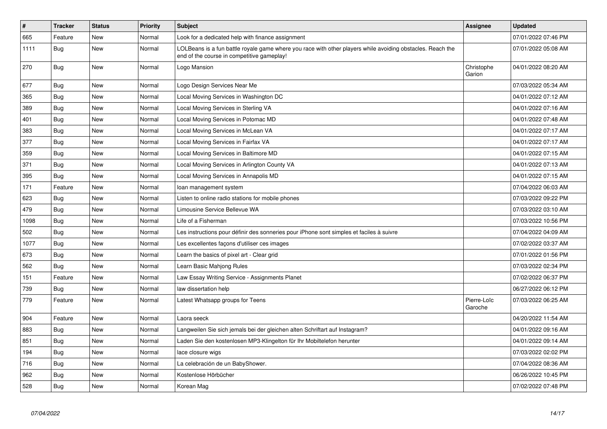| $\vert$ # | <b>Tracker</b> | <b>Status</b> | <b>Priority</b> | <b>Subject</b>                                                                                                                                           | Assignee               | <b>Updated</b>      |
|-----------|----------------|---------------|-----------------|----------------------------------------------------------------------------------------------------------------------------------------------------------|------------------------|---------------------|
| 665       | Feature        | <b>New</b>    | Normal          | Look for a dedicated help with finance assignment                                                                                                        |                        | 07/01/2022 07:46 PM |
| 1111      | Bug            | <b>New</b>    | Normal          | LOLBeans is a fun battle royale game where you race with other players while avoiding obstacles. Reach the<br>end of the course in competitive gameplay! |                        | 07/01/2022 05:08 AM |
| 270       | Bug            | <b>New</b>    | Normal          | Logo Mansion                                                                                                                                             | Christophe<br>Garion   | 04/01/2022 08:20 AM |
| 677       | Bug            | New           | Normal          | Logo Design Services Near Me                                                                                                                             |                        | 07/03/2022 05:34 AM |
| 365       | Bug            | New           | Normal          | Local Moving Services in Washington DC                                                                                                                   |                        | 04/01/2022 07:12 AM |
| 389       | Bug            | New           | Normal          | Local Moving Services in Sterling VA                                                                                                                     |                        | 04/01/2022 07:16 AM |
| 401       | Bug            | <b>New</b>    | Normal          | Local Moving Services in Potomac MD                                                                                                                      |                        | 04/01/2022 07:48 AM |
| 383       | Bug            | New           | Normal          | Local Moving Services in McLean VA                                                                                                                       |                        | 04/01/2022 07:17 AM |
| 377       | Bug            | <b>New</b>    | Normal          | Local Moving Services in Fairfax VA                                                                                                                      |                        | 04/01/2022 07:17 AM |
| 359       | Bug            | New           | Normal          | Local Moving Services in Baltimore MD                                                                                                                    |                        | 04/01/2022 07:15 AM |
| 371       | Bug            | New           | Normal          | Local Moving Services in Arlington County VA                                                                                                             |                        | 04/01/2022 07:13 AM |
| 395       | <b>Bug</b>     | New           | Normal          | Local Moving Services in Annapolis MD                                                                                                                    |                        | 04/01/2022 07:15 AM |
| 171       | Feature        | New           | Normal          | loan management system                                                                                                                                   |                        | 07/04/2022 06:03 AM |
| 623       | Bug            | New           | Normal          | Listen to online radio stations for mobile phones                                                                                                        |                        | 07/03/2022 09:22 PM |
| 479       | <b>Bug</b>     | New           | Normal          | Limousine Service Bellevue WA                                                                                                                            |                        | 07/03/2022 03:10 AM |
| 1098      | <b>Bug</b>     | New           | Normal          | Life of a Fisherman                                                                                                                                      |                        | 07/03/2022 10:56 PM |
| 502       | <b>Bug</b>     | <b>New</b>    | Normal          | Les instructions pour définir des sonneries pour iPhone sont simples et faciles à suivre                                                                 |                        | 07/04/2022 04:09 AM |
| 1077      | Bug            | New           | Normal          | Les excellentes façons d'utiliser ces images                                                                                                             |                        | 07/02/2022 03:37 AM |
| 673       | Bug            | New           | Normal          | Learn the basics of pixel art - Clear grid                                                                                                               |                        | 07/01/2022 01:56 PM |
| 562       | Bug            | New           | Normal          | Learn Basic Mahjong Rules                                                                                                                                |                        | 07/03/2022 02:34 PM |
| 151       | Feature        | New           | Normal          | Law Essay Writing Service - Assignments Planet                                                                                                           |                        | 07/02/2022 06:37 PM |
| 739       | Bug            | New           | Normal          | law dissertation help                                                                                                                                    |                        | 06/27/2022 06:12 PM |
| 779       | Feature        | <b>New</b>    | Normal          | Latest Whatsapp groups for Teens                                                                                                                         | Pierre-Loïc<br>Garoche | 07/03/2022 06:25 AM |
| 904       | Feature        | <b>New</b>    | Normal          | Laora seeck                                                                                                                                              |                        | 04/20/2022 11:54 AM |
| 883       | Bug            | New           | Normal          | Langweilen Sie sich jemals bei der gleichen alten Schriftart auf Instagram?                                                                              |                        | 04/01/2022 09:16 AM |
| 851       | Bug            | <b>New</b>    | Normal          | Laden Sie den kostenlosen MP3-Klingelton für Ihr Mobiltelefon herunter                                                                                   |                        | 04/01/2022 09:14 AM |
| 194       | Bug            | <b>New</b>    | Normal          | lace closure wigs                                                                                                                                        |                        | 07/03/2022 02:02 PM |
| 716       | Bug            | <b>New</b>    | Normal          | La celebración de un BabyShower.                                                                                                                         |                        | 07/04/2022 08:36 AM |
| 962       | Bug            | New           | Normal          | Kostenlose Hörbücher                                                                                                                                     |                        | 06/26/2022 10:45 PM |
| 528       | Bug            | New           | Normal          | Korean Mag                                                                                                                                               |                        | 07/02/2022 07:48 PM |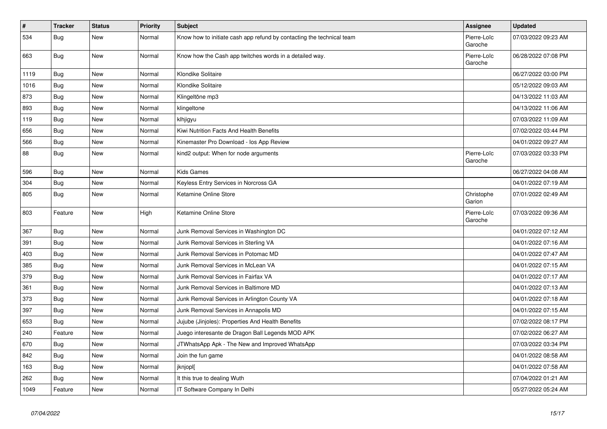| $\vert$ # | <b>Tracker</b> | <b>Status</b> | Priority | <b>Subject</b>                                                        | Assignee               | <b>Updated</b>      |
|-----------|----------------|---------------|----------|-----------------------------------------------------------------------|------------------------|---------------------|
| 534       | Bug            | <b>New</b>    | Normal   | Know how to initiate cash app refund by contacting the technical team | Pierre-Loïc<br>Garoche | 07/03/2022 09:23 AM |
| 663       | Bug            | New           | Normal   | Know how the Cash app twitches words in a detailed way.               | Pierre-Loïc<br>Garoche | 06/28/2022 07:08 PM |
| 1119      | <b>Bug</b>     | New           | Normal   | Klondike Solitaire                                                    |                        | 06/27/2022 03:00 PM |
| 1016      | <b>Bug</b>     | New           | Normal   | Klondike Solitaire                                                    |                        | 05/12/2022 09:03 AM |
| 873       | Bug            | New           | Normal   | Klingeltöne mp3                                                       |                        | 04/13/2022 11:03 AM |
| 893       | Bug            | <b>New</b>    | Normal   | klingeltone                                                           |                        | 04/13/2022 11:06 AM |
| 119       | Bug            | New           | Normal   | klhjigyu                                                              |                        | 07/03/2022 11:09 AM |
| 656       | Bug            | New           | Normal   | Kiwi Nutrition Facts And Health Benefits                              |                        | 07/02/2022 03:44 PM |
| 566       | Bug            | New           | Normal   | Kinemaster Pro Download - los App Review                              |                        | 04/01/2022 09:27 AM |
| 88        | Bug            | New           | Normal   | kind2 output: When for node arguments                                 | Pierre-Loïc<br>Garoche | 07/03/2022 03:33 PM |
| 596       | Bug            | New           | Normal   | <b>Kids Games</b>                                                     |                        | 06/27/2022 04:08 AM |
| 304       | Bug            | New           | Normal   | Keyless Entry Services in Norcross GA                                 |                        | 04/01/2022 07:19 AM |
| 805       | Bug            | <b>New</b>    | Normal   | Ketamine Online Store                                                 | Christophe<br>Garion   | 07/01/2022 02:49 AM |
| 803       | Feature        | New           | High     | Ketamine Online Store                                                 | Pierre-Loïc<br>Garoche | 07/03/2022 09:36 AM |
| 367       | Bug            | New           | Normal   | Junk Removal Services in Washington DC                                |                        | 04/01/2022 07:12 AM |
| 391       | Bug            | New           | Normal   | Junk Removal Services in Sterling VA                                  |                        | 04/01/2022 07:16 AM |
| 403       | Bug            | New           | Normal   | Junk Removal Services in Potomac MD                                   |                        | 04/01/2022 07:47 AM |
| 385       | Bug            | New           | Normal   | Junk Removal Services in McLean VA                                    |                        | 04/01/2022 07:15 AM |
| 379       | Bug            | <b>New</b>    | Normal   | Junk Removal Services in Fairfax VA                                   |                        | 04/01/2022 07:17 AM |
| 361       | Bug            | New           | Normal   | Junk Removal Services in Baltimore MD                                 |                        | 04/01/2022 07:13 AM |
| 373       | Bug            | New           | Normal   | Junk Removal Services in Arlington County VA                          |                        | 04/01/2022 07:18 AM |
| 397       | Bug            | New           | Normal   | Junk Removal Services in Annapolis MD                                 |                        | 04/01/2022 07:15 AM |
| 653       | Bug            | <b>New</b>    | Normal   | Jujube (Jinjoles): Properties And Health Benefits                     |                        | 07/02/2022 08:17 PM |
| 240       | Feature        | <b>New</b>    | Normal   | Juego interesante de Dragon Ball Legends MOD APK                      |                        | 07/02/2022 06:27 AM |
| 670       | Bug            | New           | Normal   | JTWhatsApp Apk - The New and Improved WhatsApp                        |                        | 07/03/2022 03:34 PM |
| 842       | Bug            | New           | Normal   | Join the fun game                                                     |                        | 04/01/2022 08:58 AM |
| 163       | Bug            | <b>New</b>    | Normal   | jknjopl[                                                              |                        | 04/01/2022 07:58 AM |
| 262       | <b>Bug</b>     | <b>New</b>    | Normal   | It this true to dealing Wuth                                          |                        | 07/04/2022 01:21 AM |
| 1049      | Feature        | New           | Normal   | IT Software Company In Delhi                                          |                        | 05/27/2022 05:24 AM |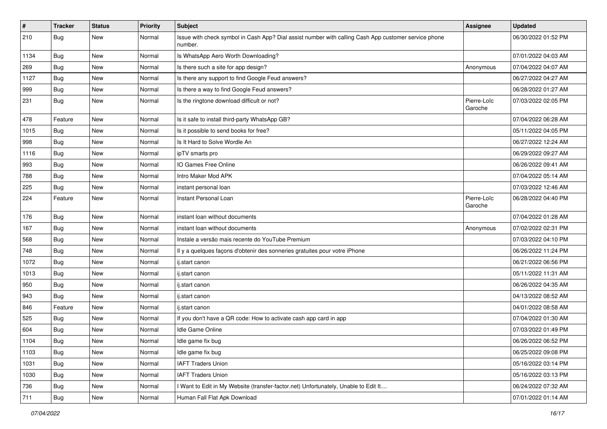| #    | <b>Tracker</b> | <b>Status</b> | <b>Priority</b> | <b>Subject</b>                                                                                                  | Assignee               | <b>Updated</b>      |
|------|----------------|---------------|-----------------|-----------------------------------------------------------------------------------------------------------------|------------------------|---------------------|
| 210  | Bug            | New           | Normal          | Issue with check symbol in Cash App? Dial assist number with calling Cash App customer service phone<br>number. |                        | 06/30/2022 01:52 PM |
| 1134 | Bug            | <b>New</b>    | Normal          | Is WhatsApp Aero Worth Downloading?                                                                             |                        | 07/01/2022 04:03 AM |
| 269  | Bug            | New           | Normal          | Is there such a site for app design?                                                                            | Anonymous              | 07/04/2022 04:07 AM |
| 1127 | Bug            | <b>New</b>    | Normal          | Is there any support to find Google Feud answers?                                                               |                        | 06/27/2022 04:27 AM |
| 999  | <b>Bug</b>     | New           | Normal          | Is there a way to find Google Feud answers?                                                                     |                        | 06/28/2022 01:27 AM |
| 231  | Bug            | New           | Normal          | Is the ringtone download difficult or not?                                                                      | Pierre-Loïc<br>Garoche | 07/03/2022 02:05 PM |
| 478  | Feature        | New           | Normal          | Is it safe to install third-party WhatsApp GB?                                                                  |                        | 07/04/2022 06:28 AM |
| 1015 | Bug            | New           | Normal          | Is it possible to send books for free?                                                                          |                        | 05/11/2022 04:05 PM |
| 998  | Bug            | New           | Normal          | Is It Hard to Solve Wordle An                                                                                   |                        | 06/27/2022 12:24 AM |
| 1116 | Bug            | New           | Normal          | ipTV smarts pro                                                                                                 |                        | 06/29/2022 09:27 AM |
| 993  | Bug            | New           | Normal          | IO Games Free Online                                                                                            |                        | 06/26/2022 09:41 AM |
| 788  | <b>Bug</b>     | New           | Normal          | Intro Maker Mod APK                                                                                             |                        | 07/04/2022 05:14 AM |
| 225  | <b>Bug</b>     | New           | Normal          | instant personal loan                                                                                           |                        | 07/03/2022 12:46 AM |
| 224  | Feature        | New           | Normal          | Instant Personal Loan                                                                                           | Pierre-Loïc<br>Garoche | 06/28/2022 04:40 PM |
| 176  | Bug            | New           | Normal          | instant loan without documents                                                                                  |                        | 07/04/2022 01:28 AM |
| 167  | Bug            | New           | Normal          | instant loan without documents                                                                                  | Anonymous              | 07/02/2022 02:31 PM |
| 568  | <b>Bug</b>     | New           | Normal          | Instale a versão mais recente do YouTube Premium                                                                |                        | 07/03/2022 04:10 PM |
| 748  | Bug            | <b>New</b>    | Normal          | Il y a quelques façons d'obtenir des sonneries gratuites pour votre iPhone                                      |                        | 06/26/2022 11:24 PM |
| 1072 | Bug            | New           | Normal          | ij.start canon                                                                                                  |                        | 06/21/2022 06:56 PM |
| 1013 | <b>Bug</b>     | New           | Normal          | ij.start canon                                                                                                  |                        | 05/11/2022 11:31 AM |
| 950  | <b>Bug</b>     | New           | Normal          | ij.start canon                                                                                                  |                        | 06/26/2022 04:35 AM |
| 943  | Bug            | New           | Normal          | ij.start canon                                                                                                  |                        | 04/13/2022 08:52 AM |
| 846  | Feature        | New           | Normal          | ij.start canon                                                                                                  |                        | 04/01/2022 08:58 AM |
| 525  | <b>Bug</b>     | New           | Normal          | If you don't have a QR code: How to activate cash app card in app                                               |                        | 07/04/2022 01:30 AM |
| 604  | <b>Bug</b>     | New           | Normal          | Idle Game Online                                                                                                |                        | 07/03/2022 01:49 PM |
| 1104 | <b>Bug</b>     | New           | Normal          | Idle game fix bug                                                                                               |                        | 06/26/2022 06:52 PM |
| 1103 | Bug            | New           | Normal          | Idle game fix bug                                                                                               |                        | 06/25/2022 09:08 PM |
| 1031 | Bug            | New           | Normal          | <b>IAFT Traders Union</b>                                                                                       |                        | 05/16/2022 03:14 PM |
| 1030 | <b>Bug</b>     | New           | Normal          | <b>IAFT Traders Union</b>                                                                                       |                        | 05/16/2022 03:13 PM |
| 736  | <b>Bug</b>     | New           | Normal          | I Want to Edit in My Website (transfer-factor.net) Unfortunately, Unable to Edit It                             |                        | 06/24/2022 07:32 AM |
| 711  | <b>Bug</b>     | New           | Normal          | Human Fall Flat Apk Download                                                                                    |                        | 07/01/2022 01:14 AM |